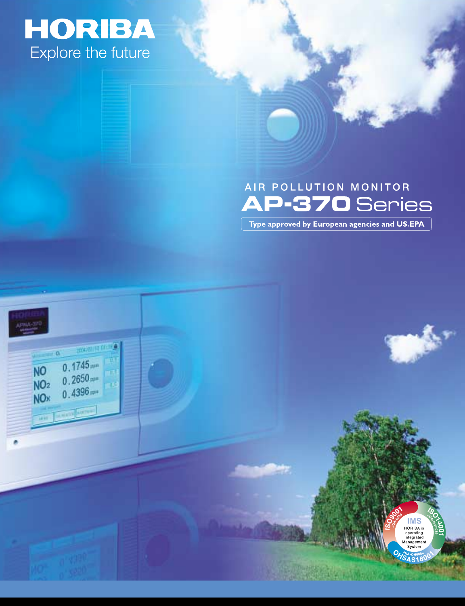# **HORIBA**<br>Explore the future

**COLOR DESCRIPTIONS** 

 $0.1745$ 

 $0.2650$ <sub>me</sub>

 $0.4396m$ 

**WARD DESCRIPTION** 

**NO** 

NO<sub>2</sub>

NO<sub>x</sub>

# AIR POLLUTION MONITOR **AP-370** Series Type approved by European agencies and US.EPA

**COMPANY** 

**IMS** HORIBA is operating<br>Integrated Manageme<br>System **SAS180**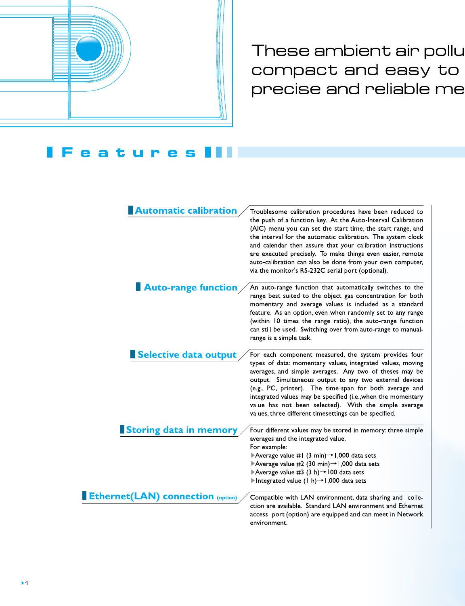

These ambient air pollu compact and easy to precise and reliable me

#### F e а - 12

| <b>Automatic calibration</b>              | Troublesome calibration procedures have been reduced to<br>the push of a function key. At the Auto-Interval Calibration<br>(AIC) menu you can set the start time, the start range, and<br>the interval for the automatic calibration. The system clock<br>and calendar then assure that your calibration instructions<br>are executed precisely. To make things even easier, remote<br>auto-calibration can also be done from your own computer,<br>via the monitor's RS 232C serial port (optional). |
|-------------------------------------------|-------------------------------------------------------------------------------------------------------------------------------------------------------------------------------------------------------------------------------------------------------------------------------------------------------------------------------------------------------------------------------------------------------------------------------------------------------------------------------------------------------|
| <b>Auto-range function</b>                | An auto-range function that automatically switches to the<br>range best suited to the object gas concentration for both<br>momentary and average values is included as a standard<br>feature. As an option, even when randomly set to any range<br>(within 10 times the range ratio), the auto-range function<br>can still be used. Switching over from auto-range to manual-<br>range is a simple task.                                                                                              |
| Selective data output                     | For each component measured, the system provides four<br>types of data: momentary values, integrated values, moving<br>averages, and simple averages. Any two of theses may be<br>output. Simultaneous output to any two external devices<br>(e.g., PC, printer). The time-span for both average and<br>integrated values may be specified (i.e., when the momentary<br>value has not been selected). With the simple average<br>values, three different timesettings can be specified.               |
| Storing data in memory                    | Four different values may be stored in memory: three simple<br>averages and the integrated value.<br>For example:<br>Average value #1 $(3 \text{ min}) \rightarrow 1,000$ data sets<br>Average value #2 (30 min) $\rightarrow$ 1,000 data sets<br>Average value #3 $(3 h)$ + 100 data sets<br>Integrated value (1 h) $\rightarrow$ 1,000 data sets                                                                                                                                                    |
| <b>Ethernet (LAN) connection (option)</b> | Compatible with LAN environment, data sharing and colle-<br>ction are available. Standard LAN environment and Ethernet<br>access port (option) are equipped and can meet in Network<br>environment.                                                                                                                                                                                                                                                                                                   |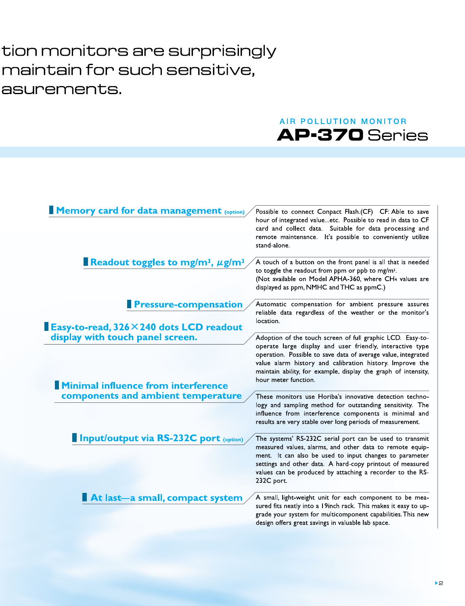# tion monitors are surprisingly maintain for such sensitive, asurements.

## **AIR POLLUTION MONITOR** AP-370 Series

| <b>Memory card for data management (option)</b>                                                                                                     | Possible to connect Conpact Flash.(CF) CF: Able to save<br>hour of integrated valueetc. Possible to read in data to CF<br>card and collect data. Suitable for data processing and<br>remote maintenance. It's possible to conveniently utilize<br>stand alone.                                                                                 |
|-----------------------------------------------------------------------------------------------------------------------------------------------------|------------------------------------------------------------------------------------------------------------------------------------------------------------------------------------------------------------------------------------------------------------------------------------------------------------------------------------------------|
| Readout toggles to mg/m <sup>3</sup> , $\mu$ g/m <sup>3</sup>                                                                                       | A touch of a button on the front panel is all that is needed<br>to toggle the readout from ppm or ppb to mg/m <sup>3</sup> .<br>(Not available on Model APHA-360, where CH4 values are<br>displayed as ppm, NMHC and THC as ppmC.)                                                                                                             |
| <b>Pressure-compensation</b>                                                                                                                        | Automatic compensation for ambient pressure assures<br>reliable data regardless of the weather or the monitor's<br>location.                                                                                                                                                                                                                   |
| <b>Easy-to-read, 326 <math>\times</math> 240 dots LCD readout</b><br>display with touch panel screen.<br><b>Minimal influence from interference</b> | Adoption of the touch screen of full graphic LCD. Easy-to-<br>operate large display and user friendly, interactive type<br>operation. Possible to save data of average value, integrated<br>value alarm history and calibration history. Improve the<br>maintain ability, for example, display the graph of intensity,<br>hour meter function. |
| components and ambient temperature                                                                                                                  | These monitors use Horiba's innovative detection techno-<br>logy and sampling method for outstanding sensitivity. The<br>influence from interference components is minimal and<br>results are very stable over long periods of measurement.                                                                                                    |
| <b>Input/output via RS-232C port</b> (option)                                                                                                       | The systems' RS-232C serial port can be used to transmit<br>measured values, alarms, and other data to remote equip-<br>ment. It can also be used to input changes to parameter<br>settings and other data. A hard-copy printout of measured<br>values can be produced by attaching a recorder to the RS-<br>232C port.                        |
| At last-a small, compact system                                                                                                                     | A small, light-weight unit for each component to be mea-<br>sured fits neatly into a 19inch rack. This makes it easy to up-<br>grade your system for multicomponent capabilities. This new<br>design offers great savings in valuable lab space.                                                                                               |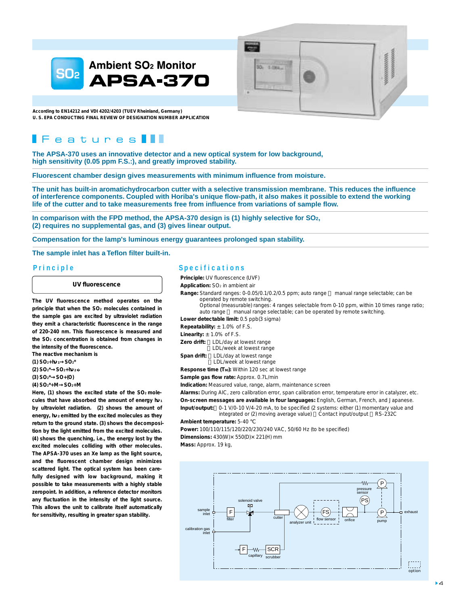



**According to EN14212 and VDI 4202/4203 (TUEV Rheinland, Germany) U. S. EPA CONDUCTING FINAL REVIEW OF DESIGNATION NUMBER APPLICATION**

## $\blacktriangleright$  eatures  $\blacktriangleright$

**The APSA-370 uses an innovative detector and a new optical system for low background, high sensitivity (0.05 ppm F.S.:), and greatly improved stability.**

**Fluorescent chamber design gives measurements with minimum influence from moisture.**

**The unit has built-in aromatichydrocarbon cutter with a selective transmission membrane. This reduces the influence of interference components. Coupled with Horiba's unique flow-path, it also makes it possible to extend the working life of the cutter and to take measurements free from influence from variations of sample flow.**

**In comparison with the FPD method, the APSA-370 design is (1) highly selective for SO2, (2) requires no supplemental gas, and (3) gives linear output.**

**Compensation for the lamp's luminous energy guarantees prolonged span stability.**

**The sample inlet has a Teflon filter built-in.**

#### **UV fluorescence**

**The UV fluorescence method operates on the principle that when the SO2 molecules contained in the sample gas are excited by ultraviolet radiation they emit a characteristic fluorescence in the range of 220-240 nm. This fluorescence is measured and the SO2 concentration is obtained from changes in the intensity of the fluorescence.**

**The reactive mechanism is**

- **(1) SO2+h <sup>1</sup> SO2\***
- **(2) SO2\* SO2+h 2 �**
- **(3) SO2\* SO+(O)**
- **(4) SO2\*+M SO2+M**

Here, (1) shows the excited state of the SO<sub>2</sub> mole**cules that have absorbed the amount of energy h <sup>1</sup> by ultraviolet radiation. (2) shows the amount of energy, h <sup>2</sup> emitted by the excited molecules as they return to the ground state. (3) shows the decomposition by the light emitted from the excited molecules. (4) shows the quenching, i.e., the energy lost by the excited molecules colliding with other molecules. The APSA-370 uses an Xe lamp as the light source, and the fluorescent chamber design minimizes scattered light. The optical system has been carefully designed with low background, making it possible to take measurements with a highly stable zeropoint. In addition, a reference detector monitors any fluctuation in the intensity of the light source. This allows the unit to calibrate itself automatically for sensitivity, resulting in greater span stability.**

#### **Principle Specifications**

**Principle:** UV fluorescence (UVF)

**Application:** SO<sub>2</sub> in ambient air

**Range:** Standard ranges: 0-0.05/0.1/0.2/0.5 ppm; auto range ~ manual range selectable; can be operated by remote switching.

 Optional (measurable) ranges: 4 ranges selectable from 0-10 ppm, within 10 times range ratio; auto range manual range selectable; can be operated by remote switching.

**Lower detectable limit:** 0.5 ppb(3 sigma)

|  | <b>Repeatability:</b> $\pm$ 1.0% of F.S. |  |  |  |
|--|------------------------------------------|--|--|--|
|  |                                          |  |  |  |

|             | <b>Linearity:</b> $\pm$ 1.0% of F.S. |
|-------------|--------------------------------------|
| Zero drift: | LDL/day at lowest range              |
|             | LDL/week at lowest range             |

**Span drift:** LDL/day at lowest range <LDL/week at lowest range

**Response time (T90):** Within 120 sec at lowest range

**Sample gas flow rate:** Approx. 0.7L/min

**Indication:** Measured value, range, alarm, maintenance screen

**Alarms:** During AIC, zero calibration error, span calibration error, temperature error in catalyzer, etc. **On-screen messages are available in four languages:** English, German, French, and Japanese.

**Input/output:** 0-1 V/0-10 V/4-20 mA, to be specified (2 systems: either (1) momentary value and integrated or (2) moving average value) Contact input/output RS-232C

#### **Ambient temperature:** 5-40

**Power:** 100/110/115/120/220/230/240 VAC, 50/60 Hz (to be specified) **Dimensions:** 430(W)×550(D)×221(H) mm

**Mass:** Approx. 19 kg,

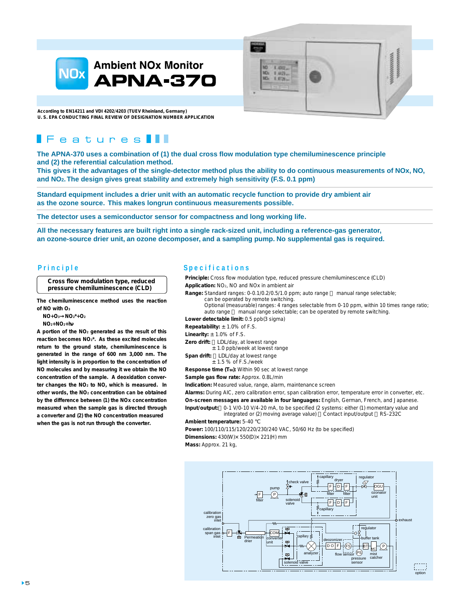



**According to EN14211 and VDI 4202/4203 (TUEV Rheinland, Germany) U. S. EPA CONDUCTING FINAL REVIEW OF DESIGNATION NUMBER APPLICATION**

## $F$ eatures

**The APNA-370 uses a combination of (1) the dual cross flow modulation type chemiluminescence principle and (2) the referential calculation method.** 

**This gives it the advantages of the single-detector method plus the ability to do continuous measurements of NOx, NO, and NO2. The design gives great stability and extremely high sensitivity (F.S. 0.1 ppm)**

**Standard equipment includes a drier unit with an automatic recycle function to provide dry ambient air as the ozone source. This makes longrun continuous measurements possible.**

**The detector uses a semiconductor sensor for compactness and long working life.**

**All the necessary features are built right into a single rack-sized unit, including a reference-gas generator, an ozone-source drier unit, an ozone decomposer, and a sampling pump. No supplemental gas is required.**

**Cross flow modulation type, reduced pressure chemiluminescence (CLD)**

**The chemiluminescence method uses the reaction of NO with O3**

 **NO+O3 NO2\*+O2**

 **NO2+NO2+h**

**A portion of the NO2 generated as the result of this reaction becomes NO2\*. As these excited molecules return to the ground state, chemiluminescence is generated in the range of 600 nm 3,000 nm. The light intensity is in proportion to the concentration of NO molecules and by measuring it we obtain the NO concentration of the sample. A deoxidation converter changes the NO2 to NO, which is measured. In other words, the NO2 concentration can be obtained by the difference between (1) the NOx concentration measured when the sample gas is directed through a converter and (2) the NO concentration measured when the gas is not run through the converter.**

### **Principle Specifications**

**Principle:** Cross flow modulation type, reduced pressure chemiluminescence (CLD) **Application:** NO2, NO and NOx in ambient air **Range:** Standard ranges: 0-0.1/0.2/0.5/1.0 ppm; auto range manual range selectable;

can be operated by remote switching.

 Optional (measurable) ranges: 4 ranges selectable from 0-10 ppm, within 10 times range ratio; auto range manual range selectable; can be operated by remote switching.

**Lower detectable limit:** 0.5 ppb(3 sigma)

**Repeatability:** ±1.0% of F.S.

**Linearity:** ±1.0% of F.S.

**Zero drift:** LDL/day, at lowest range

±1.0 ppb/week at lowest range

Span drift: LDL/day at lowest range  $±$  1.5 % of F.S./week

**Response time (T90):** Within 90 sec at lowest range

**Sample gas flow rate:** Approx. 0.8L/min

**Indication:** Measured value, range, alarm, maintenance screen

**Alarms:** During AIC, zero calibration error, span calibration error, temperature error in converter, etc. **On-screen messages are available in four languages:** English, German, French, and Japanese.

**Input/output:** 0-1 V/0-10 V/4-20 mA, to be specified (2 systems: either (1) momentary value and integrated or (2) moving average value) Contact input/output RS-232C

#### **Ambient temperature:** 5-40

**Power:** 100/110/115/120/220/230/240 VAC, 50/60 Hz (to be specified) **Dimensions:** 430(W)×550(D)×221(H) mm

**Mass:** Approx. 21 kg,

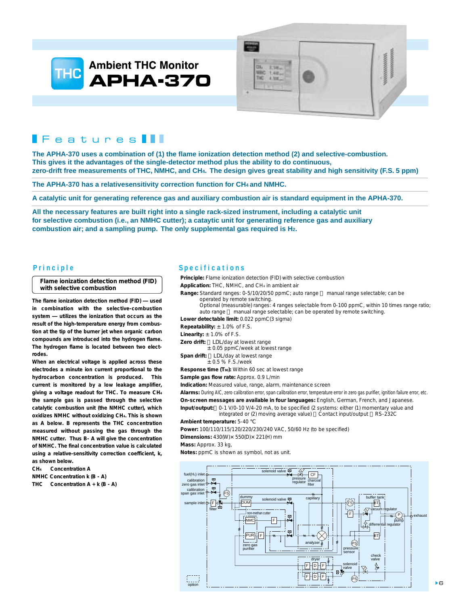



## $IF$ eatures

**The APHA-370 uses a combination of (1) the flame ionization detection method (2) and selective-combustion. This gives it the advantages of the single-detector method plus the ability to do continuous, zero-drift free measurements of THC, NMHC, and CH4. The design gives great stability and high sensitivity (F.S. 5 ppm)**

**The APHA-370 has a relativesensitivity correction function for CH4 and NMHC.**

**A catalytic unit for generating reference gas and auxiliary combustion air is standard equipment in the APHA-370.**

**All the necessary features are built right into a single rack-sized instrument, including a catalytic unit for selective combustion (i.e., an NMHC cutter); a cataytic unit for generating reference gas and auxiliary combustion air; and a sampling pump. The only supplemental gas required is H2.**

#### **Flame ionization detection method (FID) with selective combustion**

**The flame ionization detection method (FID) ― used in combination with the selective-combustion system utilizes the ionization that occurs as the result of the high-temperature energy from combustion at the tip of the burner jet when organic carbon compounds are introduced into the hydrogen flame. The hydrogen flame is located between two electrodes.**

**When an electrical voltage is applied across these electrodes a minute ion current proportional to the hydrocarbon concentration is produced. This current is monitored by a low leakage amplifier, giving a voltage readout for THC. To measure CH4 the sample gas is passed through the selective catalytic combustion unit (the NMHC cutter), which oxidizes NMHC without oxidizing CH4. This is shown as** *A* **below.** *B* **represents the THC concentration measured without passing the gas through the NMHC cutter. Thus** *B***-** *A* **will give the concentration of NMHC. The final concentration value is calculated using a relative-sensitivity correction coefficient,** *k***, as shown below.**

**CH4 Concentration** *A*

**NMHC Concentration** *k* **(***B* **-** *A***)**

THC Concentration  $A + k(B - A)$ 

### **Principle Specifications**

**Principle:** Flame ionization detection (FID) with selective combustion

**Application:** THC, NMHC, and CH4 in ambient air

**Range:** Standard ranges: 0-5/10/20/50 ppmC; auto range ~ manual range selectable; can be operated by remote switching.

 Optional (measurable) ranges: 4 ranges selectable from 0-100 ppmC, within 10 times range ratio; auto range manual range selectable; can be operated by remote switching.

**Lower detectable limit:** 0.022 ppmC(3 sigma)

**Repeatability:** ±1.0% of F.S.

**Linearity:**  $\pm$  1.0% of F.S.

- **Zero drift:** LDL/day at lowest range
	- ±0.05 ppmC/week at lowest range
- Span drift: LDL/day at lowest range  $±$  0.5 % F.S./week
- **Response time (T90):** Within 60 sec at lowest range

**Sample gas flow rate:** Approx. 0.9 L/min

**Indication:** Measured value, range, alarm, maintenance screen

**Alarms:** During AIC, zero calibration error, span calibration error, temperature error in zero gas purifier, ignition failure error, etc.

**On-screen messages are available in four languages:** English, German, French, and Japanese. **Input/output:** 0-1 V/0-10 V/4-20 mA, to be specified (2 systems: either (1) momentary value and

 integrated or (2) moving average value) Contact input/output RS-232C **Ambient temperature:** 5-40

**Power:** 100/110/115/120/220/230/240 VAC, 50/60 Hz (to be specified)

**Dimensions:** 430(W)×550(D)×221(H) mm

**Mass:** Approx. 33 kg,

**Notes:** ppmC is shown as symbol, not as unit.

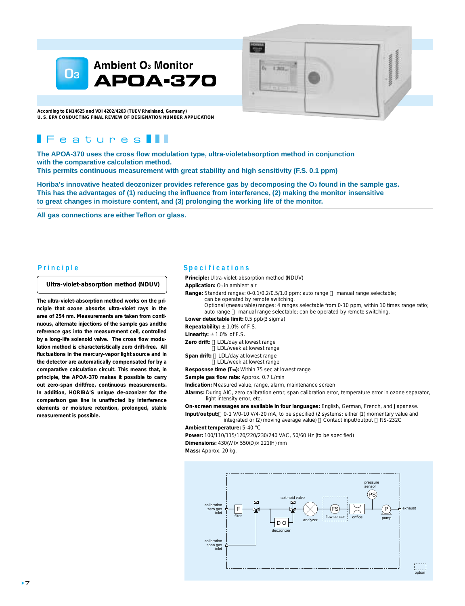

**According to EN14625 and VDI 4202/4203 (TUEV Rheinland, Germany) U. S. EPA CONDUCTING FINAL REVIEW OF DESIGNATION NUMBER APPLICATION**

## $\blacksquare$  Features  $\blacksquare$

**The APOA-370 uses the cross flow modulation type, ultra-violetabsorption method in conjunction with the comparative calculation method. This permits continuous measurement with great stability and high sensitivity (F.S. 0.1 ppm)**

Horiba's innovative heated deozonizer provides reference gas by decomposing the O<sub>3</sub> found in the sample gas. **This has the advantages of (1) reducing the influence from interference, (2) making the monitor insensitive to great changes in moisture content, and (3) prolonging the working life of the monitor.**

**All gas connections are either Teflon or glass.**

#### **Ultra-violet-absorption method (NDUV)**

**The ultra-violet-absorption method works on the principle that ozone absorbs ultra-violet rays in the area of 254 nm. Measurements are taken from continuous, alternate injections of the sample gas andthe reference gas into the measurement cell, controlled by a long-life solenoid valve. The cross flow modulation method is characteristically zero drift-free. All fluctuations in the mercury-vapor light source and in the detector are automatically compensated for by a comparative calculation circuit. This means that, in principle, the APOA-370 makes it possible to carry out zero-span driftfree, continuous measurements. In addition, HORIBA'S unique de-ozonizer for the comparison gas line is unaffected by interference elements or moisture retention, prolonged, stable measurement is possible.**

#### **Principle Specifications**

**Principle:** Ultra-violet-absorption method (NDUV)

**Application:** O<sub>3</sub> in ambient air

**Range:** Standard ranges: 0-0.1/0.2/0.5/1.0 ppm; auto range manual range selectable; can be operated by remote switching.

 $1.287$ 

 Optional (measurable) ranges: 4 ranges selectable from 0-10 ppm, within 10 times range ratio; auto range manual range selectable; can be operated by remote switching.

secondona

**Lower detectable limit:** 0.5 ppb(3 sigma)

**Repeatability:** ±1.0% of F.S.

**Linearity:** ±1.0% of F.S.

- Zero drift: LDL/day at lowest range
	- LDL/week at lowest range
- Span drift: LDL/day at lowest range
- <LDL/week at lowest range

**Resposnse time (T90):** Within 75 sec at lowest range

**Sample gas flow rate:** Approx. 0.7 L/min

**Indication:** Measured value, range, alarm, maintenance screen

**Alarms:** During AIC, zero calibration error, span calibration error, temperature error in ozone separator, light intensity error, etc.

**On-screen messages are available in four languages:** English, German, French, and Japanese. **Input/output:** 0-1 V/0-10 V/4-20 mA, to be specified (2 systems: either (1) momentary value and

 integrated or (2) moving average value) Contact input/output RS-232C **Ambient temperature:** 5-40

**Power:** 100/110/115/120/220/230/240 VAC, 50/60 Hz (to be specified)

**Dimensions:** 430(W)×550(D)×221(H) mm

**Mass:** Approx. 20 kg,

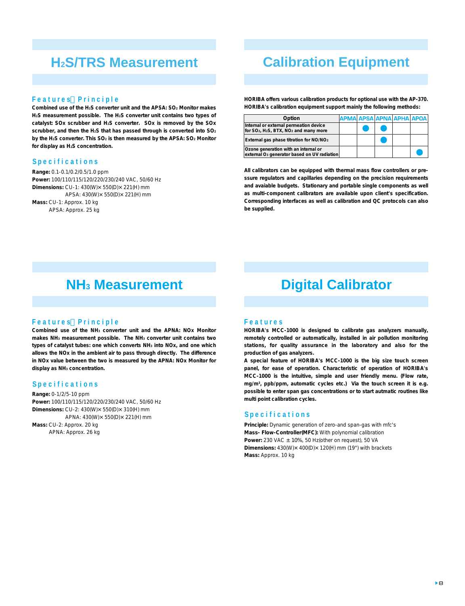## **H2S/TRS Measurement**

#### **Features Principle**

**Combined use of the H2S converter unit and the APSA: SO2 Monitor makes H2S measurement possible. The H2S converter unit contains two types of catalyst: SOx scrubber and H2S converter. SOx is removed by the SOx scrubber, and then the H2S that has passed through is converted into SO2** by the H<sub>2</sub>S converter. This SO<sub>2</sub> is then measured by the APSA: SO<sub>2</sub> Monitor **for display as H2S concentration.**

#### **Specifications**

**Range:** 0.1-0.1/0.2/0.5/1.0 ppm **Power:** 100/110/115/120/220/230/240 VAC, 50/60 Hz **Dimensions:** CU-1: 430(W)×550(D)×221(H) mm APSA: 430(W)×550(D)×221(H) mm **Mass:** CU-1: Approx. 10 kg APSA: Approx. 25 kg

## **Calibration Equipment**

**HORIBA offers various calibration products for optional use with the AP-370. HORIBA's calibration equipment support mainly the following methods:**

| Option                                                                                                               | APMA APSA APNA APHA APOA |  |  |
|----------------------------------------------------------------------------------------------------------------------|--------------------------|--|--|
| Internal or external permeation device<br>for SO <sub>2</sub> , H <sub>2</sub> S, BTX, NO <sub>2</sub> and many more |                          |  |  |
| External gas phase titration for NO/NO <sub>2</sub>                                                                  |                          |  |  |
| Ozone generation with an internal or<br>external O <sub>3</sub> generator based on UV radiation                      |                          |  |  |

**All calibrators can be equipped with thermal mass flow controllers or pressure regulators and capillaries depending on the precision requirements and avaiable budgets. Stationary and portable single components as well as multi-component calibrators are available upon client's specification. Corresponding interfaces as well as calibration and QC protocols can also be supplied.**

## **NH3 Measurement**

#### **Features Principle**

**Combined use of the NH3 converter unit and the APNA: NOx Monitor makes NH3 measurement possible. The NH3 converter unit contains two types of catalyst tubes: one which converts NH3 into NOx, and one which allows the NOx in the ambient air to pass through directly. The difference in NOx value between the two is measured by the APNA: NOx Monitor for display as NH3 concentration.**

#### **Specifications**

**Range:** 0-1/2/5-10 ppm **Power:** 100/110/115/120/220/230/240 VAC, 50/60 Hz **Dimensions:** CU-2: 430(W)×550(D)×310(H) mm APNA: 430(W)×550(D)×221(H) mm **Mass:** CU-2: Approx. 20 kg APNA: Approx. 26 kg

# **Digital Calibrator**

#### **Features**

**HORIBA's MCC-1000 is designed to calibrate gas analyzers manually, remotely controlled or automatically, installed in air pollution monitoring stations, for quality assurance in the laboratory and also for the production of gas analyzers.**

**A special feature of HORIBA's MCC-1000 is the big size touch screen panel, for ease of operation. Characteristic of operation of HORIBA's MCC-1000 is the intuitive, simple and user friendly menu. (Flow rate, mg/m3, ppb/ppm, automatic cycles etc.) Via the touch screen it is e.g. possible to enter span gas concentrations or to start autmatic routines like multi point calibration cycles.**

#### **Specifications**

**Principle:** Dynamic generation of zero-and span-gas with mfc's **Mass- Flow-Controller(MFC):** With polynomial calibration **Power:** 230 VAC ±10%, 50 Hz(other on request), 50 VA **Dimensions:** 430(W)×400(D)×120(H) mm (19") with brackets **Mass:** Approx. 10 kg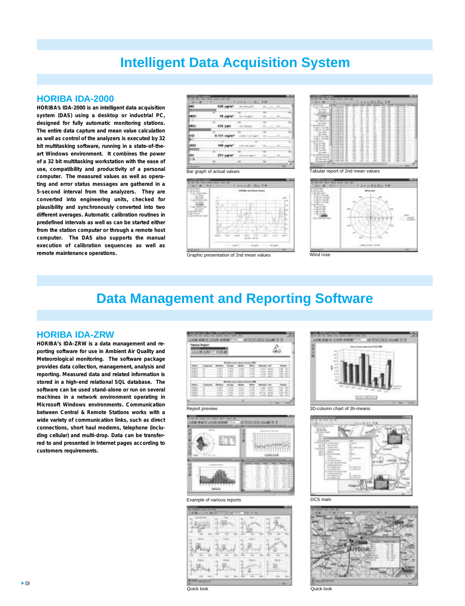## **Intelligent Data Acquisition System**

## **HORIBA IDA-2000**

**HORIBA's IDA-2000 is an intelligent data acquisition system (DAS) using a desktop or industrial PC, designed for fully automatic monitoring stations. The entire data capture and mean value calculation as well as control of the analyzers is executed by 32 bit multitasking software, running in a state-of-theart Windows environment. It combines the power of a 32 bit multitasking workstation with the ease of use, compatibility and productivity of a personal computer. The measured values as well as operating and error status messages are gathered in a 5-second interval from the analyzers. They are converted into engineering units, checked for plausibility and synchronously converted into two different averages. Automatic calibration routines in predefined intervals as well as can be started either from the station computer or through a remote host computer. The DAS also supports the manual execution of calibration sequences as well as remote maintenance operations.** 







## **Data Management and Reporting Software**

## **HORIBA IDA-ZRW**

**HORIBA's IDA-ZRW is a data management and reporting software for use in Ambient Air Quality and Meteorological monitoring. The software package provides data collection, management, analysis and reporting. Measured data and related information is stored in a high-end relational SQL database. The software can be used stand-alone or run on several machines in a network environment operating in Microsoft Windows environments. Communication between Central & Remote Stations works with a wide variety of communication links, such as direct connections, short haul modems, telephone (including cellular) and multi-drop. Data can be transferred to and presented in Internet pages according to customers requirements.**



Example of various reports **DCS** main









Quick look Quick look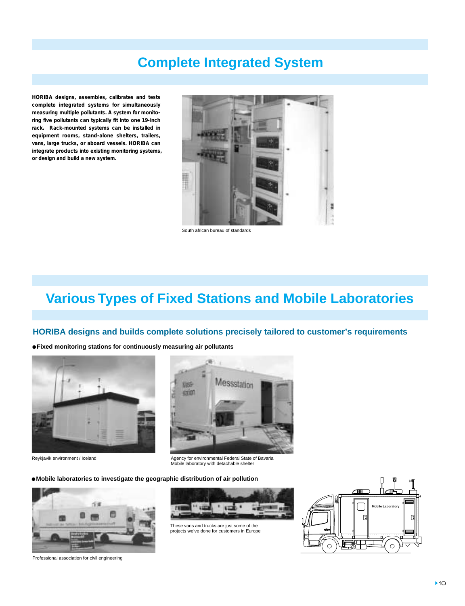# **Complete Integrated System**

**HORIBA designs, assembles, calibrates and tests complete integrated systems for simultaneously measuring multiple pollutants. A system for monitoring five pollutants can typically fit into one 19-inch rack. Rack-mounted systems can be installed in equipment rooms, stand-alone shelters, trailers, vans, large trucks, or aboard vessels. HORIBA can integrate products into existing monitoring systems, or design and build a new system.**



South african bureau of standards

## **Various Types of Fixed Stations and Mobile Laboratories**

## **HORIBA designs and builds complete solutions precisely tailored to customer's requirements**

**Fixed monitoring stations for continuously measuring air pollutants** 



Reykjavik environment / Iceland



Agency for environmental Federal State of Bavaria Mobile laboratory with detachable shelter

**Mobile laboratories to investigate the geographic distribution of air pollution**





These vans and trucks are just some of the projects we've done for customers in Europe



Professional association for civil engineering